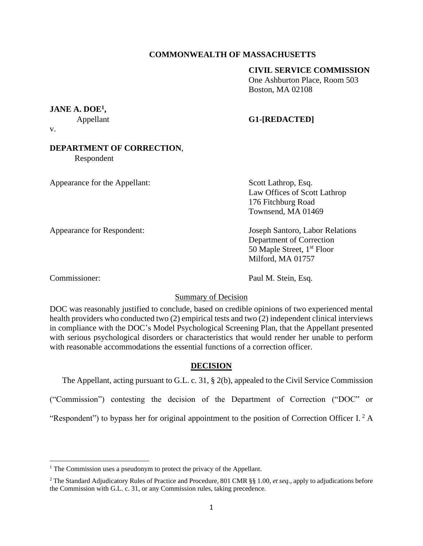## **COMMONWEALTH OF MASSACHUSETTS**

## **CIVIL SERVICE COMMISSION**

One Ashburton Place, Room 503 Boston, MA 02108

# **JANE A. DOE<sup>1</sup> ,**

## Appellant **G1-[REDACTED]**

v.

# **DEPARTMENT OF CORRECTION**,

Respondent

Appearance for the Appellant: Scott Lathrop, Esq.

Law Offices of Scott Lathrop 176 Fitchburg Road Townsend, MA 01469

Appearance for Respondent: Joseph Santoro, Labor Relations

Department of Correction 50 Maple Street, 1<sup>st</sup> Floor Milford, MA 01757

Commissioner: Paul M. Stein, Esq.

## Summary of Decision

DOC was reasonably justified to conclude, based on credible opinions of two experienced mental health providers who conducted two (2) empirical tests and two (2) independent clinical interviews in compliance with the DOC's Model Psychological Screening Plan, that the Appellant presented with serious psychological disorders or characteristics that would render her unable to perform with reasonable accommodations the essential functions of a correction officer.

## **DECISION**

The Appellant, acting pursuant to G.L. c. 31, § 2(b), appealed to the Civil Service Commission

("Commission") contesting the decision of the Department of Correction ("DOC" or

"Respondent") to bypass her for original appointment to the position of Correction Officer I.  $2 \text{ A}$ 

<sup>&</sup>lt;sup>1</sup> The Commission uses a pseudonym to protect the privacy of the Appellant.

<sup>2</sup> The Standard Adjudicatory Rules of Practice and Procedure, 801 CMR §§ 1.00, *et seq.*, apply to adjudications before the Commission with G.L. c. 31, or any Commission rules, taking precedence.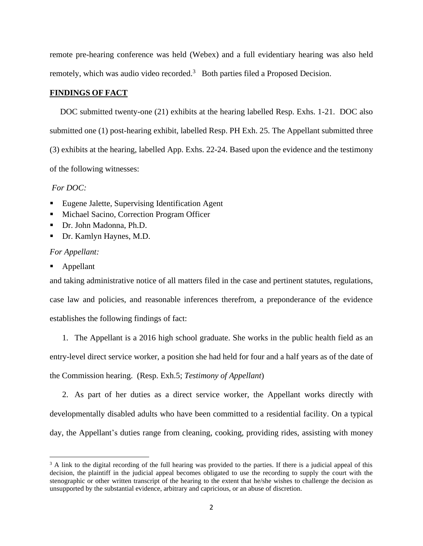remote pre-hearing conference was held (Webex) and a full evidentiary hearing was also held remotely, which was audio video recorded.<sup>3</sup> Both parties filed a Proposed Decision.

## **FINDINGS OF FACT**

 DOC submitted twenty-one (21) exhibits at the hearing labelled Resp. Exhs. 1-21. DOC also submitted one (1) post-hearing exhibit, labelled Resp. PH Exh. 25. The Appellant submitted three (3) exhibits at the hearing, labelled App. Exhs. 22-24. Based upon the evidence and the testimony of the following witnesses:

### *For DOC:*

- Eugene Jalette, Supervising Identification Agent
- Michael Sacino, Correction Program Officer
- Dr. John Madonna, Ph.D.
- Dr. Kamlyn Haynes, M.D.

#### *For Appellant:*

**Appellant** 

and taking administrative notice of all matters filed in the case and pertinent statutes, regulations, case law and policies, and reasonable inferences therefrom, a preponderance of the evidence establishes the following findings of fact:

1. The Appellant is a 2016 high school graduate. She works in the public health field as an entry-level direct service worker, a position she had held for four and a half years as of the date of the Commission hearing. (Resp. Exh.5; *Testimony of Appellant*)

2. As part of her duties as a direct service worker, the Appellant works directly with developmentally disabled adults who have been committed to a residential facility. On a typical day, the Appellant's duties range from cleaning, cooking, providing rides, assisting with money

 $3$  A link to the digital recording of the full hearing was provided to the parties. If there is a judicial appeal of this decision, the plaintiff in the judicial appeal becomes obligated to use the recording to supply the court with the stenographic or other written transcript of the hearing to the extent that he/she wishes to challenge the decision as unsupported by the substantial evidence, arbitrary and capricious, or an abuse of discretion.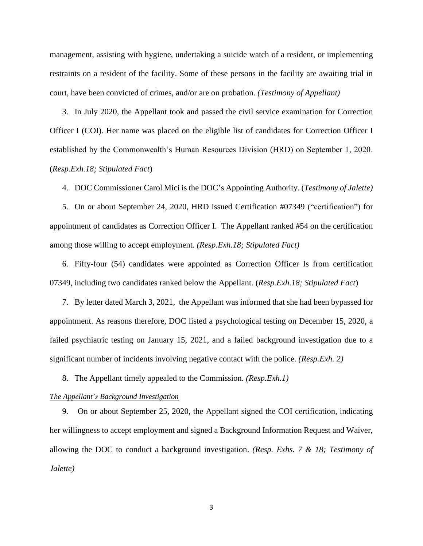management, assisting with hygiene, undertaking a suicide watch of a resident, or implementing restraints on a resident of the facility. Some of these persons in the facility are awaiting trial in court, have been convicted of crimes, and/or are on probation. *(Testimony of Appellant)*

3. In July 2020, the Appellant took and passed the civil service examination for Correction Officer I (COI). Her name was placed on the eligible list of candidates for Correction Officer I established by the Commonwealth's Human Resources Division (HRD) on September 1, 2020. (*Resp.Exh.18; Stipulated Fact*)

4. DOC Commissioner Carol Mici is the DOC's Appointing Authority. (*Testimony of Jalette)*

5. On or about September 24, 2020, HRD issued Certification #07349 ("certification") for appointment of candidates as Correction Officer I. The Appellant ranked #54 on the certification among those willing to accept employment. *(Resp.Exh.18; Stipulated Fact)*

6. Fifty-four (54) candidates were appointed as Correction Officer Is from certification 07349, including two candidates ranked below the Appellant. (*Resp.Exh.18; Stipulated Fact*)

7. By letter dated March 3, 2021, the Appellant was informed that she had been bypassed for appointment. As reasons therefore, DOC listed a psychological testing on December 15, 2020, a failed psychiatric testing on January 15, 2021, and a failed background investigation due to a significant number of incidents involving negative contact with the police. *(Resp.Exh. 2)*

8. The Appellant timely appealed to the Commission. *(Resp.Exh.1)*

### *The Appellant's Background Investigation*

9. On or about September 25, 2020, the Appellant signed the COI certification, indicating her willingness to accept employment and signed a Background Information Request and Waiver, allowing the DOC to conduct a background investigation. *(Resp. Exhs. 7 & 18; Testimony of Jalette)*

3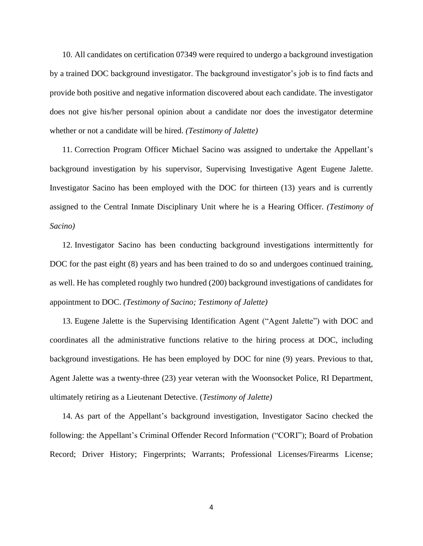10. All candidates on certification 07349 were required to undergo a background investigation by a trained DOC background investigator. The background investigator's job is to find facts and provide both positive and negative information discovered about each candidate. The investigator does not give his/her personal opinion about a candidate nor does the investigator determine whether or not a candidate will be hired. *(Testimony of Jalette)*

11. Correction Program Officer Michael Sacino was assigned to undertake the Appellant's background investigation by his supervisor, Supervising Investigative Agent Eugene Jalette. Investigator Sacino has been employed with the DOC for thirteen (13) years and is currently assigned to the Central Inmate Disciplinary Unit where he is a Hearing Officer. *(Testimony of Sacino)*

12. Investigator Sacino has been conducting background investigations intermittently for DOC for the past eight (8) years and has been trained to do so and undergoes continued training, as well. He has completed roughly two hundred (200) background investigations of candidates for appointment to DOC. *(Testimony of Sacino; Testimony of Jalette)*

13. Eugene Jalette is the Supervising Identification Agent ("Agent Jalette") with DOC and coordinates all the administrative functions relative to the hiring process at DOC, including background investigations. He has been employed by DOC for nine (9) years. Previous to that, Agent Jalette was a twenty-three (23) year veteran with the Woonsocket Police, RI Department, ultimately retiring as a Lieutenant Detective. (*Testimony of Jalette)*

14. As part of the Appellant's background investigation, Investigator Sacino checked the following: the Appellant's Criminal Offender Record Information ("CORI"); Board of Probation Record; Driver History; Fingerprints; Warrants; Professional Licenses/Firearms License;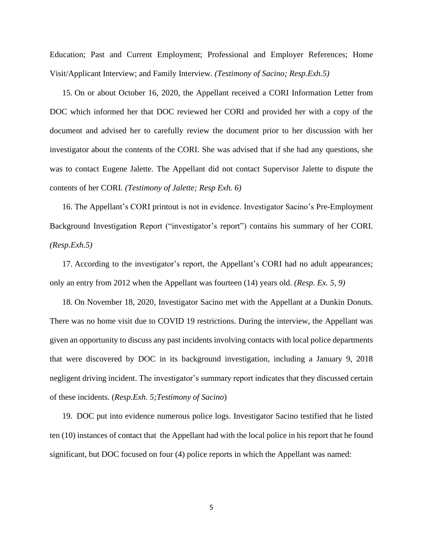Education; Past and Current Employment; Professional and Employer References; Home Visit/Applicant Interview; and Family Interview. *(Testimony of Sacino; Resp.Exh.5)*

15. On or about October 16, 2020, the Appellant received a CORI Information Letter from DOC which informed her that DOC reviewed her CORI and provided her with a copy of the document and advised her to carefully review the document prior to her discussion with her investigator about the contents of the CORI. She was advised that if she had any questions, she was to contact Eugene Jalette. The Appellant did not contact Supervisor Jalette to dispute the contents of her CORI. *(Testimony of Jalette; Resp Exh. 6)*

16. The Appellant's CORI printout is not in evidence. Investigator Sacino's Pre-Employment Background Investigation Report ("investigator's report") contains his summary of her CORI. *(Resp.Exh.5)*

17. According to the investigator's report, the Appellant's CORI had no adult appearances; only an entry from 2012 when the Appellant was fourteen (14) years old. *(Resp. Ex. 5, 9)* 

18. On November 18, 2020, Investigator Sacino met with the Appellant at a Dunkin Donuts. There was no home visit due to COVID 19 restrictions. During the interview, the Appellant was given an opportunity to discuss any past incidents involving contacts with local police departments that were discovered by DOC in its background investigation, including a January 9, 2018 negligent driving incident. The investigator's summary report indicates that they discussed certain of these incidents. (*Resp.Exh. 5;Testimony of Sacino*)

19. DOC put into evidence numerous police logs. Investigator Sacino testified that he listed ten (10) instances of contact that the Appellant had with the local police in his report that he found significant, but DOC focused on four (4) police reports in which the Appellant was named: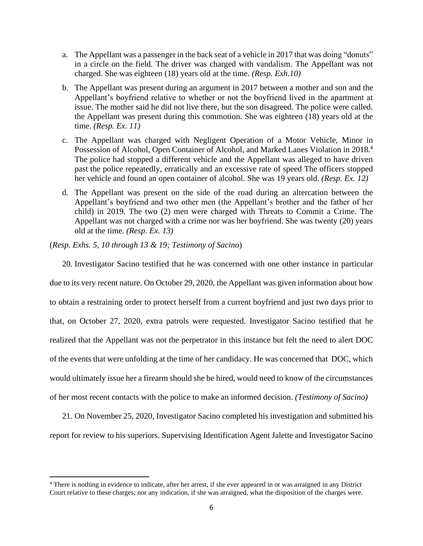- a. The Appellant was a passenger in the back seat of a vehicle in 2017 that was doing "donuts" in a circle on the field. The driver was charged with vandalism. The Appellant was not charged. She was eighteen (18) years old at the time. *(Resp. Exh.10)*
- b. The Appellant was present during an argument in 2017 between a mother and son and the Appellant's boyfriend relative to whether or not the boyfriend lived in the apartment at issue. The mother said he did not live there, but the son disagreed. The police were called. the Appellant was present during this commotion. She was eighteen (18) years old at the time. *(Resp. Ex. 11)*
- c. The Appellant was charged with Negligent Operation of a Motor Vehicle, Minor in Possession of Alcohol, Open Container of Alcohol, and Marked Lanes Violation in 2018.<sup>4</sup> The police had stopped a different vehicle and the Appellant was alleged to have driven past the police repeatedly, erratically and an excessive rate of speed The officers stopped her vehicle and found an open container of alcohol. She was 19 years old. *(Resp. Ex. 12)*
- d. The Appellant was present on the side of the road during an altercation between the Appellant's boyfriend and two other men (the Appellant's brother and the father of her child) in 2019. The two (2) men were charged with Threats to Commit a Crime. The Appellant was not charged with a crime nor was her boyfriend. She was twenty (20) years old at the time. *(Resp. Ex. 13)*

(*Resp. Exhs. 5, 10 through 13 & 19; Testimony of Sacino*)

20. Investigator Sacino testified that he was concerned with one other instance in particular due to its very recent nature. On October 29, 2020, the Appellant was given information about how to obtain a restraining order to protect herself from a current boyfriend and just two days prior to that, on October 27, 2020, extra patrols were requested. Investigator Sacino testified that he realized that the Appellant was not the perpetrator in this instance but felt the need to alert DOC of the events that were unfolding at the time of her candidacy. He was concerned that DOC, which would ultimately issue her a firearm should she be hired, would need to know of the circumstances of her most recent contacts with the police to make an informed decision. *(Testimony of Sacino)*

21. On November 25, 2020, Investigator Sacino completed his investigation and submitted his report for review to his superiors. Supervising Identification Agent Jalette and Investigator Sacino

<sup>&</sup>lt;sup>4</sup> There is nothing in evidence to indicate, after her arrest, if she ever appeared in or was arraigned in any District Court relative to these charges; nor any indication, if she was arraigned, what the disposition of the charges were.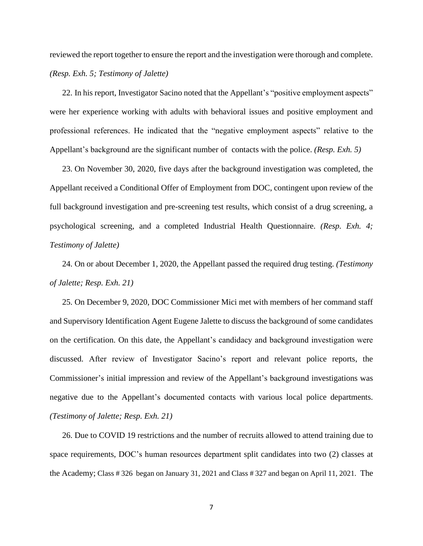reviewed the report together to ensure the report and the investigation were thorough and complete. *(Resp. Exh. 5; Testimony of Jalette)*

22. In his report, Investigator Sacino noted that the Appellant's "positive employment aspects" were her experience working with adults with behavioral issues and positive employment and professional references. He indicated that the "negative employment aspects" relative to the Appellant's background are the significant number of contacts with the police. *(Resp. Exh. 5)*

23. On November 30, 2020, five days after the background investigation was completed, the Appellant received a Conditional Offer of Employment from DOC, contingent upon review of the full background investigation and pre-screening test results, which consist of a drug screening, a psychological screening, and a completed Industrial Health Questionnaire. *(Resp. Exh. 4; Testimony of Jalette)*

24. On or about December 1, 2020, the Appellant passed the required drug testing. *(Testimony of Jalette; Resp. Exh. 21)*

25. On December 9, 2020, DOC Commissioner Mici met with members of her command staff and Supervisory Identification Agent Eugene Jalette to discuss the background of some candidates on the certification. On this date, the Appellant's candidacy and background investigation were discussed. After review of Investigator Sacino's report and relevant police reports, the Commissioner's initial impression and review of the Appellant's background investigations was negative due to the Appellant's documented contacts with various local police departments. *(Testimony of Jalette; Resp. Exh. 21)*

26. Due to COVID 19 restrictions and the number of recruits allowed to attend training due to space requirements, DOC's human resources department split candidates into two (2) classes at the Academy; Class # 326 began on January 31, 2021 and Class # 327 and began on April 11, 2021. The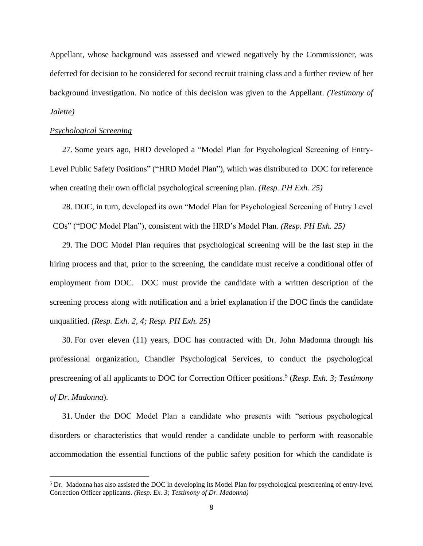Appellant, whose background was assessed and viewed negatively by the Commissioner, was deferred for decision to be considered for second recruit training class and a further review of her background investigation. No notice of this decision was given to the Appellant. *(Testimony of Jalette)* 

#### *Psychological Screening*

27. Some years ago, HRD developed a "Model Plan for Psychological Screening of Entry-Level Public Safety Positions" ("HRD Model Plan"), which was distributed to DOC for reference when creating their own official psychological screening plan. *(Resp. PH Exh. 25)*

28. DOC, in turn, developed its own "Model Plan for Psychological Screening of Entry Level COs" ("DOC Model Plan"), consistent with the HRD's Model Plan. *(Resp. PH Exh. 25)*

29. The DOC Model Plan requires that psychological screening will be the last step in the hiring process and that, prior to the screening, the candidate must receive a conditional offer of employment from DOC. DOC must provide the candidate with a written description of the screening process along with notification and a brief explanation if the DOC finds the candidate unqualified. *(Resp. Exh. 2, 4; Resp. PH Exh. 25)*

30. For over eleven (11) years, DOC has contracted with Dr. John Madonna through his professional organization, Chandler Psychological Services, to conduct the psychological prescreening of all applicants to DOC for Correction Officer positions. 5 (*Resp. Exh. 3; Testimony of Dr. Madonna*).

31. Under the DOC Model Plan a candidate who presents with "serious psychological disorders or characteristics that would render a candidate unable to perform with reasonable accommodation the essential functions of the public safety position for which the candidate is

<sup>&</sup>lt;sup>5</sup> Dr. Madonna has also assisted the DOC in developing its Model Plan for psychological prescreening of entry-level Correction Officer applicants. *(Resp. Ex. 3; Testimony of Dr. Madonna)*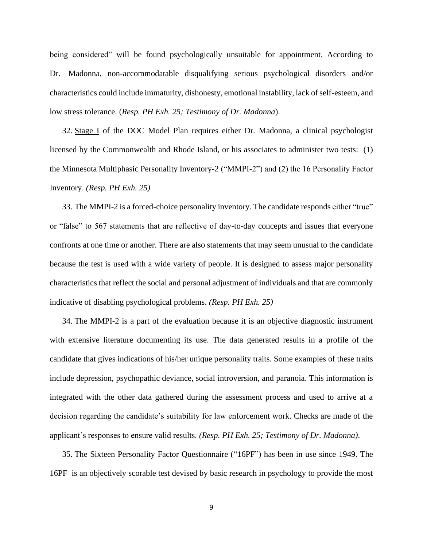being considered" will be found psychologically unsuitable for appointment. According to Dr. Madonna, non-accommodatable disqualifying serious psychological disorders and/or characteristics could include immaturity, dishonesty, emotional instability, lack of self-esteem, and low stress tolerance. (*Resp. PH Exh. 25; Testimony of Dr. Madonna*).

32. Stage I of the DOC Model Plan requires either Dr. Madonna, a clinical psychologist licensed by the Commonwealth and Rhode Island, or his associates to administer two tests: (1) the Minnesota Multiphasic Personality Inventory-2 ("MMPI-2") and (2) the 16 Personality Factor Inventory. *(Resp. PH Exh. 25)*

33. The MMPI-2 is a forced-choice personality inventory. The candidate responds either "true" or "false" to 567 statements that are reflective of day-to-day concepts and issues that everyone confronts at one time or another. There are also statements that may seem unusual to the candidate because the test is used with a wide variety of people. It is designed to assess major personality characteristics that reflect the social and personal adjustment of individuals and that are commonly indicative of disabling psychological problems. *(Resp. PH Exh. 25)*

34. The MMPI-2 is a part of the evaluation because it is an objective diagnostic instrument with extensive literature documenting its use. The data generated results in a profile of the candidate that gives indications of his/her unique personality traits. Some examples of these traits include depression, psychopathic deviance, social introversion, and paranoia. This information is integrated with the other data gathered during the assessment process and used to arrive at a decision regarding the candidate's suitability for law enforcement work. Checks are made of the applicant's responses to ensure valid results. *(Resp. PH Exh. 25; Testimony of Dr. Madonna)*.

35. The Sixteen Personality Factor Questionnaire ("16PF") has been in use since 1949. The 16PF is an objectively scorable test devised by basic research in psychology to provide the most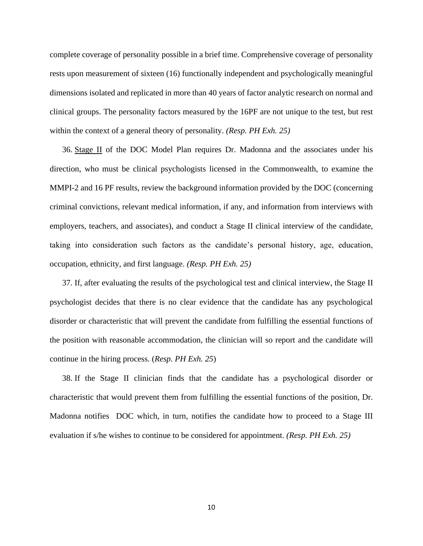complete coverage of personality possible in a brief time. Comprehensive coverage of personality rests upon measurement of sixteen (16) functionally independent and psychologically meaningful dimensions isolated and replicated in more than 40 years of factor analytic research on normal and clinical groups. The personality factors measured by the 16PF are not unique to the test, but rest within the context of a general theory of personality. *(Resp. PH Exh. 25)*

36. Stage II of the DOC Model Plan requires Dr. Madonna and the associates under his direction, who must be clinical psychologists licensed in the Commonwealth, to examine the MMPI-2 and 16 PF results, review the background information provided by the DOC (concerning criminal convictions, relevant medical information, if any, and information from interviews with employers, teachers, and associates), and conduct a Stage II clinical interview of the candidate, taking into consideration such factors as the candidate's personal history, age, education, occupation, ethnicity, and first language. *(Resp. PH Exh. 25)*

37. If, after evaluating the results of the psychological test and clinical interview, the Stage II psychologist decides that there is no clear evidence that the candidate has any psychological disorder or characteristic that will prevent the candidate from fulfilling the essential functions of the position with reasonable accommodation, the clinician will so report and the candidate will continue in the hiring process. (*Resp. PH Exh. 25*)

38. If the Stage II clinician finds that the candidate has a psychological disorder or characteristic that would prevent them from fulfilling the essential functions of the position, Dr. Madonna notifies DOC which, in turn, notifies the candidate how to proceed to a Stage III evaluation if s/he wishes to continue to be considered for appointment. *(Resp. PH Exh. 25)*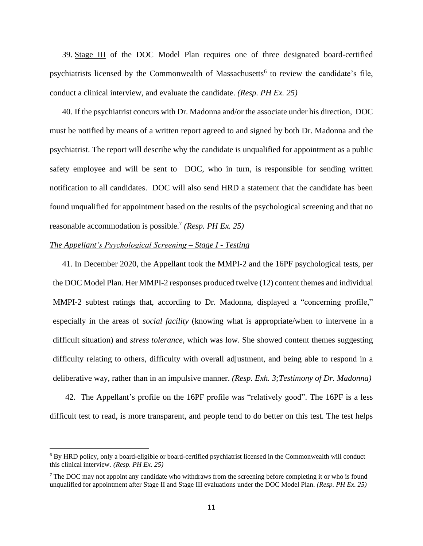39. Stage III of the DOC Model Plan requires one of three designated board-certified psychiatrists licensed by the Commonwealth of Massachusetts<sup>6</sup> to review the candidate's file, conduct a clinical interview, and evaluate the candidate. *(Resp. PH Ex. 25)*

40. If the psychiatrist concurs with Dr. Madonna and/or the associate under his direction, DOC must be notified by means of a written report agreed to and signed by both Dr. Madonna and the psychiatrist. The report will describe why the candidate is unqualified for appointment as a public safety employee and will be sent to DOC, who in turn, is responsible for sending written notification to all candidates. DOC will also send HRD a statement that the candidate has been found unqualified for appointment based on the results of the psychological screening and that no reasonable accommodation is possible.<sup>7</sup> *(Resp. PH Ex. 25)*

### *The Appellant's Psychological Screening – Stage I - Testing*

41. In December 2020, the Appellant took the MMPI-2 and the 16PF psychological tests, per the DOC Model Plan. Her MMPI-2 responses produced twelve (12) content themes and individual MMPI-2 subtest ratings that, according to Dr. Madonna, displayed a "concerning profile," especially in the areas of *social facility* (knowing what is appropriate/when to intervene in a difficult situation) and *stress tolerance*, which was low. She showed content themes suggesting difficulty relating to others, difficulty with overall adjustment, and being able to respond in a deliberative way, rather than in an impulsive manner. *(Resp. Exh. 3;Testimony of Dr. Madonna)*

42. The Appellant's profile on the 16PF profile was "relatively good". The 16PF is a less difficult test to read, is more transparent, and people tend to do better on this test. The test helps

<sup>6</sup> By HRD policy, only a board-eligible or board-certified psychiatrist licensed in the Commonwealth will conduct this clinical interview. *(Resp. PH Ex. 25)*

<sup>&</sup>lt;sup>7</sup> The DOC may not appoint any candidate who withdraws from the screening before completing it or who is found unqualified for appointment after Stage II and Stage III evaluations under the DOC Model Plan. *(Resp. PH Ex. 25)*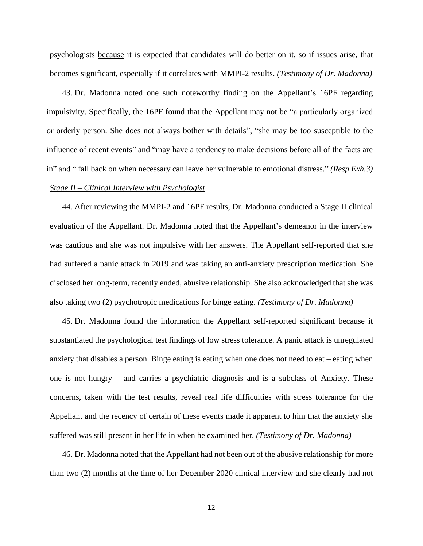psychologists because it is expected that candidates will do better on it, so if issues arise, that becomes significant, especially if it correlates with MMPI-2 results. *(Testimony of Dr. Madonna)*

43. Dr. Madonna noted one such noteworthy finding on the Appellant's 16PF regarding impulsivity. Specifically, the 16PF found that the Appellant may not be "a particularly organized or orderly person. She does not always bother with details", "she may be too susceptible to the influence of recent events" and "may have a tendency to make decisions before all of the facts are in" and " fall back on when necessary can leave her vulnerable to emotional distress." *(Resp Exh.3)*

## *Stage II – Clinical Interview with Psychologist*

44. After reviewing the MMPI-2 and 16PF results, Dr. Madonna conducted a Stage II clinical evaluation of the Appellant. Dr. Madonna noted that the Appellant's demeanor in the interview was cautious and she was not impulsive with her answers. The Appellant self-reported that she had suffered a panic attack in 2019 and was taking an anti-anxiety prescription medication. She disclosed her long-term, recently ended, abusive relationship. She also acknowledged that she was also taking two (2) psychotropic medications for binge eating. *(Testimony of Dr. Madonna)*

45. Dr. Madonna found the information the Appellant self-reported significant because it substantiated the psychological test findings of low stress tolerance. A panic attack is unregulated anxiety that disables a person. Binge eating is eating when one does not need to eat – eating when one is not hungry – and carries a psychiatric diagnosis and is a subclass of Anxiety. These concerns, taken with the test results, reveal real life difficulties with stress tolerance for the Appellant and the recency of certain of these events made it apparent to him that the anxiety she suffered was still present in her life in when he examined her. *(Testimony of Dr. Madonna)*

46. Dr. Madonna noted that the Appellant had not been out of the abusive relationship for more than two (2) months at the time of her December 2020 clinical interview and she clearly had not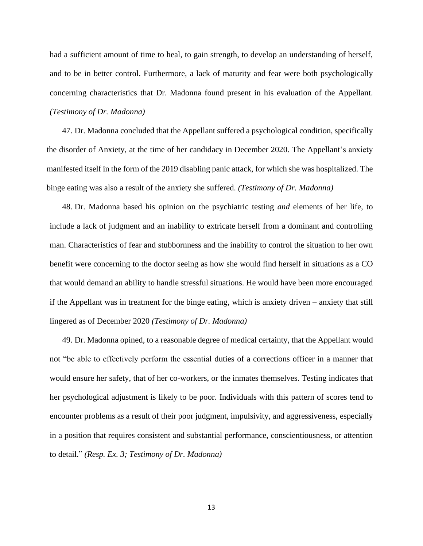had a sufficient amount of time to heal, to gain strength, to develop an understanding of herself, and to be in better control. Furthermore, a lack of maturity and fear were both psychologically concerning characteristics that Dr. Madonna found present in his evaluation of the Appellant. *(Testimony of Dr. Madonna)*

47. Dr. Madonna concluded that the Appellant suffered a psychological condition, specifically the disorder of Anxiety, at the time of her candidacy in December 2020. The Appellant's anxiety manifested itself in the form of the 2019 disabling panic attack, for which she was hospitalized. The binge eating was also a result of the anxiety she suffered. *(Testimony of Dr. Madonna)*

48. Dr. Madonna based his opinion on the psychiatric testing *and* elements of her life, to include a lack of judgment and an inability to extricate herself from a dominant and controlling man. Characteristics of fear and stubbornness and the inability to control the situation to her own benefit were concerning to the doctor seeing as how she would find herself in situations as a CO that would demand an ability to handle stressful situations. He would have been more encouraged if the Appellant was in treatment for the binge eating, which is anxiety driven – anxiety that still lingered as of December 2020 *(Testimony of Dr. Madonna)*

49. Dr. Madonna opined, to a reasonable degree of medical certainty, that the Appellant would not "be able to effectively perform the essential duties of a corrections officer in a manner that would ensure her safety, that of her co-workers, or the inmates themselves. Testing indicates that her psychological adjustment is likely to be poor. Individuals with this pattern of scores tend to encounter problems as a result of their poor judgment, impulsivity, and aggressiveness, especially in a position that requires consistent and substantial performance, conscientiousness, or attention to detail." *(Resp. Ex. 3; Testimony of Dr. Madonna)*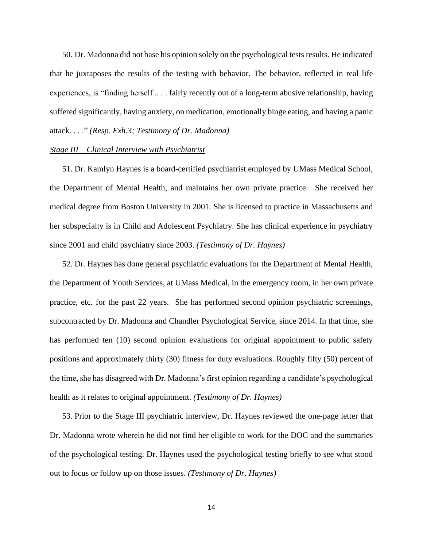50. Dr. Madonna did not base his opinion solely on the psychological tests results. He indicated that he juxtaposes the results of the testing with behavior. The behavior, reflected in real life experiences, is "finding herself .. . . fairly recently out of a long-term abusive relationship, having suffered significantly, having anxiety, on medication, emotionally binge eating, and having a panic attack. . . ." *(Resp. Exh.3; Testimony of Dr. Madonna)*

## *Stage III – Clinical Interview with Psychiatrist*

51. Dr. Kamlyn Haynes is a board-certified psychiatrist employed by UMass Medical School, the Department of Mental Health, and maintains her own private practice. She received her medical degree from Boston University in 2001. She is licensed to practice in Massachusetts and her subspecialty is in Child and Adolescent Psychiatry. She has clinical experience in psychiatry since 2001 and child psychiatry since 2003. *(Testimony of Dr. Haynes)*

52. Dr. Haynes has done general psychiatric evaluations for the Department of Mental Health, the Department of Youth Services, at UMass Medical, in the emergency room, in her own private practice, etc. for the past 22 years. She has performed second opinion psychiatric screenings, subcontracted by Dr. Madonna and Chandler Psychological Service, since 2014. In that time, she has performed ten (10) second opinion evaluations for original appointment to public safety positions and approximately thirty (30) fitness for duty evaluations. Roughly fifty (50) percent of the time, she has disagreed with Dr. Madonna's first opinion regarding a candidate's psychological health as it relates to original appointment. *(Testimony of Dr. Haynes)*

53. Prior to the Stage III psychiatric interview, Dr. Haynes reviewed the one-page letter that Dr. Madonna wrote wherein he did not find her eligible to work for the DOC and the summaries of the psychological testing. Dr. Haynes used the psychological testing briefly to see what stood out to focus or follow up on those issues. *(Testimony of Dr. Haynes)*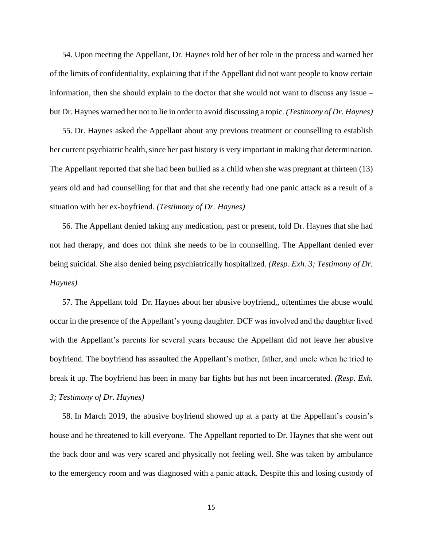54. Upon meeting the Appellant, Dr. Haynes told her of her role in the process and warned her of the limits of confidentiality, explaining that if the Appellant did not want people to know certain information, then she should explain to the doctor that she would not want to discuss any issue – but Dr. Haynes warned her not to lie in order to avoid discussing a topic. *(Testimony of Dr. Haynes)*

55. Dr. Haynes asked the Appellant about any previous treatment or counselling to establish her current psychiatric health, since her past history is very important in making that determination. The Appellant reported that she had been bullied as a child when she was pregnant at thirteen (13) years old and had counselling for that and that she recently had one panic attack as a result of a situation with her ex-boyfriend. *(Testimony of Dr. Haynes)*

56. The Appellant denied taking any medication, past or present, told Dr. Haynes that she had not had therapy, and does not think she needs to be in counselling. The Appellant denied ever being suicidal. She also denied being psychiatrically hospitalized. *(Resp. Exh. 3; Testimony of Dr. Haynes)*

57. The Appellant told Dr. Haynes about her abusive boyfriend,, oftentimes the abuse would occur in the presence of the Appellant's young daughter. DCF was involved and the daughter lived with the Appellant's parents for several years because the Appellant did not leave her abusive boyfriend. The boyfriend has assaulted the Appellant's mother, father, and uncle when he tried to break it up. The boyfriend has been in many bar fights but has not been incarcerated. *(Resp. Exh. 3; Testimony of Dr. Haynes)*

58. In March 2019, the abusive boyfriend showed up at a party at the Appellant's cousin's house and he threatened to kill everyone. The Appellant reported to Dr. Haynes that she went out the back door and was very scared and physically not feeling well. She was taken by ambulance to the emergency room and was diagnosed with a panic attack. Despite this and losing custody of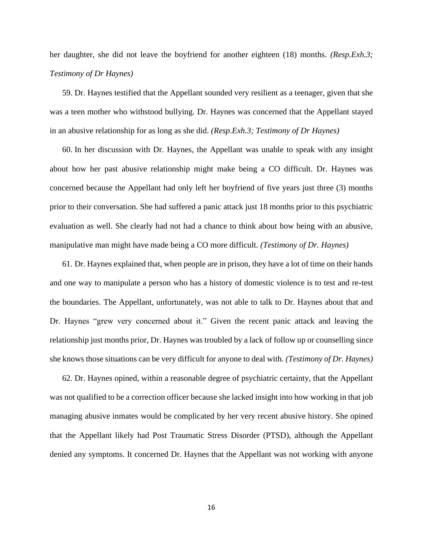her daughter, she did not leave the boyfriend for another eighteen (18) months. *(Resp.Exh.3; Testimony of Dr Haynes)*

59. Dr. Haynes testified that the Appellant sounded very resilient as a teenager, given that she was a teen mother who withstood bullying. Dr. Haynes was concerned that the Appellant stayed in an abusive relationship for as long as she did. *(Resp.Exh.3; Testimony of Dr Haynes)*

60. In her discussion with Dr. Haynes, the Appellant was unable to speak with any insight about how her past abusive relationship might make being a CO difficult. Dr. Haynes was concerned because the Appellant had only left her boyfriend of five years just three (3) months prior to their conversation. She had suffered a panic attack just 18 months prior to this psychiatric evaluation as well. She clearly had not had a chance to think about how being with an abusive, manipulative man might have made being a CO more difficult. *(Testimony of Dr. Haynes)*

61. Dr. Haynes explained that, when people are in prison, they have a lot of time on their hands and one way to manipulate a person who has a history of domestic violence is to test and re-test the boundaries. The Appellant, unfortunately, was not able to talk to Dr. Haynes about that and Dr. Haynes "grew very concerned about it." Given the recent panic attack and leaving the relationship just months prior, Dr. Haynes was troubled by a lack of follow up or counselling since she knows those situations can be very difficult for anyone to deal with. *(Testimony of Dr. Haynes)*

62. Dr. Haynes opined, within a reasonable degree of psychiatric certainty, that the Appellant was not qualified to be a correction officer because she lacked insight into how working in that job managing abusive inmates would be complicated by her very recent abusive history. She opined that the Appellant likely had Post Traumatic Stress Disorder (PTSD), although the Appellant denied any symptoms. It concerned Dr. Haynes that the Appellant was not working with anyone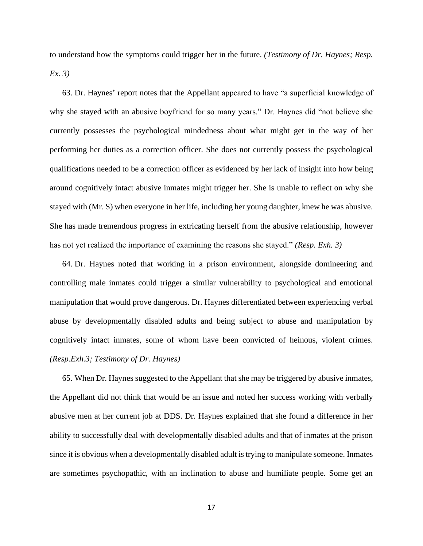to understand how the symptoms could trigger her in the future. *(Testimony of Dr. Haynes; Resp. Ex. 3)*

63. Dr. Haynes' report notes that the Appellant appeared to have "a superficial knowledge of why she stayed with an abusive boyfriend for so many years." Dr. Haynes did "not believe she currently possesses the psychological mindedness about what might get in the way of her performing her duties as a correction officer. She does not currently possess the psychological qualifications needed to be a correction officer as evidenced by her lack of insight into how being around cognitively intact abusive inmates might trigger her. She is unable to reflect on why she stayed with (Mr. S) when everyone in her life, including her young daughter, knew he was abusive. She has made tremendous progress in extricating herself from the abusive relationship, however has not yet realized the importance of examining the reasons she stayed." *(Resp. Exh. 3)*

64. Dr. Haynes noted that working in a prison environment, alongside domineering and controlling male inmates could trigger a similar vulnerability to psychological and emotional manipulation that would prove dangerous. Dr. Haynes differentiated between experiencing verbal abuse by developmentally disabled adults and being subject to abuse and manipulation by cognitively intact inmates, some of whom have been convicted of heinous, violent crimes. *(Resp.Exh.3; Testimony of Dr. Haynes)*

65. When Dr. Haynes suggested to the Appellant that she may be triggered by abusive inmates, the Appellant did not think that would be an issue and noted her success working with verbally abusive men at her current job at DDS. Dr. Haynes explained that she found a difference in her ability to successfully deal with developmentally disabled adults and that of inmates at the prison since it is obvious when a developmentally disabled adult is trying to manipulate someone. Inmates are sometimes psychopathic, with an inclination to abuse and humiliate people. Some get an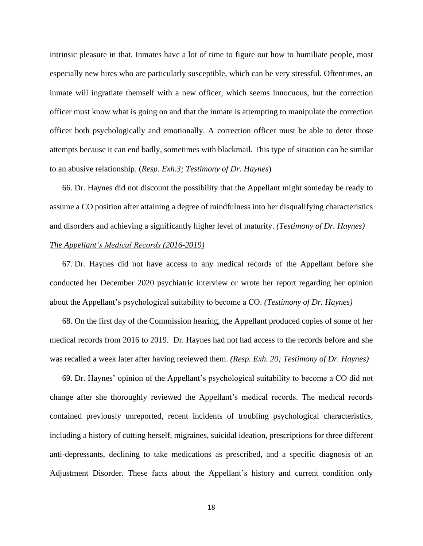intrinsic pleasure in that. Inmates have a lot of time to figure out how to humiliate people, most especially new hires who are particularly susceptible, which can be very stressful. Oftentimes, an inmate will ingratiate themself with a new officer, which seems innocuous, but the correction officer must know what is going on and that the inmate is attempting to manipulate the correction officer both psychologically and emotionally. A correction officer must be able to deter those attempts because it can end badly, sometimes with blackmail. This type of situation can be similar to an abusive relationship. (*Resp. Exh.3; Testimony of Dr. Haynes*)

66. Dr. Haynes did not discount the possibility that the Appellant might someday be ready to assume a CO position after attaining a degree of mindfulness into her disqualifying characteristics and disorders and achieving a significantly higher level of maturity. *(Testimony of Dr. Haynes)*

# *The Appellant's Medical Records (2016-2019)*

67. Dr. Haynes did not have access to any medical records of the Appellant before she conducted her December 2020 psychiatric interview or wrote her report regarding her opinion about the Appellant's psychological suitability to become a CO. *(Testimony of Dr. Haynes)*

68. On the first day of the Commission hearing, the Appellant produced copies of some of her medical records from 2016 to 2019. Dr. Haynes had not had access to the records before and she was recalled a week later after having reviewed them. *(Resp. Exh. 20; Testimony of Dr. Haynes)*

69. Dr. Haynes' opinion of the Appellant's psychological suitability to become a CO did not change after she thoroughly reviewed the Appellant's medical records. The medical records contained previously unreported, recent incidents of troubling psychological characteristics, including a history of cutting herself, migraines, suicidal ideation, prescriptions for three different anti-depressants, declining to take medications as prescribed, and a specific diagnosis of an Adjustment Disorder. These facts about the Appellant's history and current condition only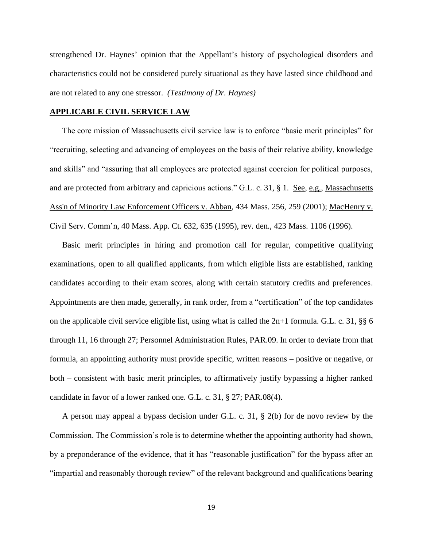strengthened Dr. Haynes' opinion that the Appellant's history of psychological disorders and characteristics could not be considered purely situational as they have lasted since childhood and are not related to any one stressor. *(Testimony of Dr. Haynes)*

#### **APPLICABLE CIVIL SERVICE LAW**

The core mission of Massachusetts civil service law is to enforce "basic merit principles" for "recruiting, selecting and advancing of employees on the basis of their relative ability, knowledge and skills" and "assuring that all employees are protected against coercion for political purposes, and are protected from arbitrary and capricious actions." G.L. c. 31, § 1. See, e.g., Massachusetts [Ass'n of Minority Law Enforcement Officers v. Abban, 434 Mass. 256, 259 \(2001\);](http://web2.westlaw.com/find/default.wl?mt=Massachusetts&db=578&rs=WLW15.04&tc=-1&rp=%2ffind%2fdefault.wl&findtype=Y&ordoc=2029136022&serialnum=2001441097&vr=2.0&fn=_top&sv=Split&tf=-1&pbc=70F732C1&utid=1) MacHenry v. Civil Serv. Comm'n, 40 Mass. App. Ct. 632, 635 (1995), rev. den., 423 Mass. 1106 (1996).

Basic merit principles in hiring and promotion call for regular, competitive qualifying examinations, open to all qualified applicants, from which eligible lists are established, ranking candidates according to their exam scores, along with certain statutory credits and preferences. Appointments are then made, generally, in rank order, from a "certification" of the top candidates on the applicable civil service eligible list, using what is called the  $2n+1$  formula. G.L. c. 31, §§ 6 through 11, 16 through 27; Personnel Administration Rules, PAR.09. In order to deviate from that formula, an appointing authority must provide specific, written reasons – positive or negative, or both – consistent with basic merit principles, to affirmatively justify bypassing a higher ranked candidate in favor of a lower ranked one. G.L. c. 31, § 27; PAR.08(4).

A person may appeal a bypass decision under G.L. c. 31, § 2(b) for de novo review by the Commission. The Commission's role is to determine whether the appointing authority had shown, by a preponderance of the evidence, that it has "reasonable justification" for the bypass after an "impartial and reasonably thorough review" of the relevant background and qualifications bearing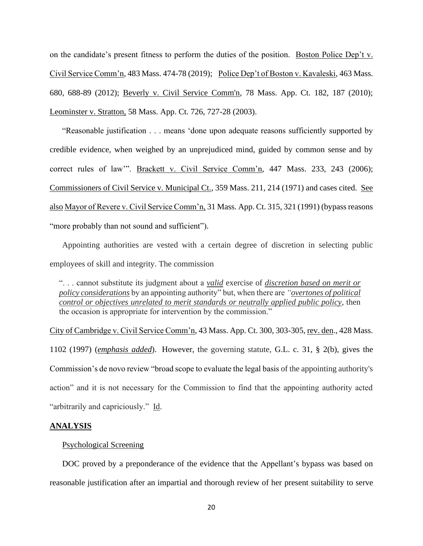on the candidate's present fitness to perform the duties of the position. Boston Police Dep't v. Civil Service Comm'n, 483 Mass. 474-78 (2019); Police Dep't of Boston v. Kavaleski, 463 Mass. 680, 688-89 (2012); [Beverly v. Civil Service Comm'n, 78 Mass.](http://web2.westlaw.com/find/default.wl?mt=Massachusetts&db=578&rs=WLW15.04&tc=-1&rp=%2ffind%2fdefault.wl&findtype=Y&ordoc=2029136022&serialnum=2023501172&vr=2.0&fn=_top&sv=Split&tf=-1&pbc=70F732C1&utid=1) App. Ct. 182, 187 (2010); Leominster v. Stratton, 58 Mass. App. Ct. 726, 727-28 (2003).

"Reasonable justification . . . means 'done upon adequate reasons sufficiently supported by credible evidence, when weighed by an unprejudiced mind, guided by common sense and by correct rules of law'". Brackett v. Civil Service Comm'n, 447 Mass. 233, 243 (2006); Commissioners of Civil Service v. Municipal Ct., 359 Mass. 211, 214 (1971) and cases cited. See also Mayor of Revere v. Civil Service Comm'n, 31 Mass. App. Ct. 315, 321 (1991) (bypass reasons "more probably than not sound and sufficient").

Appointing authorities are vested with a certain degree of discretion in selecting public employees of skill and integrity. The commission

". . . cannot substitute its judgment about a *valid* exercise of *discretion based on merit or policy considerations* by an appointing authority" but, when there are *"overtones of political control or objectives unrelated to merit standards or neutrally applied public policy*, then the occasion is appropriate for intervention by the commission."

City of Cambridge v. Civil Service Comm'n, 43 Mass. App. Ct. 300, 303-305, rev. den., 428 Mass. 1102 (1997) (*emphasis added*). However, the governing statute, [G.L.](https://1.next.westlaw.com/Link/Document/FullText?findType=L&pubNum=1000042&cite=MAST31S2&originatingDoc=Ib21af0ded3bd11d99439b076ef9ec4de&refType=LQ&originationContext=document&transitionType=DocumentItem&contextData=(sc.History*oc.UserEnteredCitation)) c. 31, § 2(b), gives the Commission's de novo review "broad scope to evaluate the legal basis of the appointing authority's action" and it is not necessary for the Commission to find that the appointing authority acted "arbitrarily and capriciously." Id.

#### **ANALYSIS**

### Psychological Screening

DOC proved by a preponderance of the evidence that the Appellant's bypass was based on reasonable justification after an impartial and thorough review of her present suitability to serve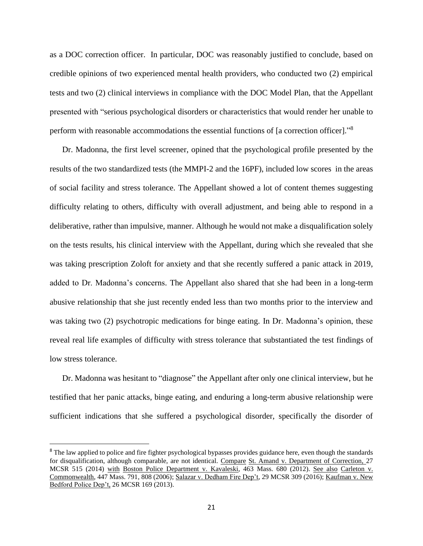as a DOC correction officer. In particular, DOC was reasonably justified to conclude, based on credible opinions of two experienced mental health providers, who conducted two (2) empirical tests and two (2) clinical interviews in compliance with the DOC Model Plan, that the Appellant presented with "serious psychological disorders or characteristics that would render her unable to perform with reasonable accommodations the essential functions of [a correction officer]."<sup>8</sup>

Dr. Madonna, the first level screener, opined that the psychological profile presented by the results of the two standardized tests (the MMPI-2 and the 16PF), included low scores in the areas of social facility and stress tolerance. The Appellant showed a lot of content themes suggesting difficulty relating to others, difficulty with overall adjustment, and being able to respond in a deliberative, rather than impulsive, manner. Although he would not make a disqualification solely on the tests results, his clinical interview with the Appellant, during which she revealed that she was taking prescription Zoloft for anxiety and that she recently suffered a panic attack in 2019, added to Dr. Madonna's concerns. The Appellant also shared that she had been in a long-term abusive relationship that she just recently ended less than two months prior to the interview and was taking two (2) psychotropic medications for binge eating. In Dr. Madonna's opinion, these reveal real life examples of difficulty with stress tolerance that substantiated the test findings of low stress tolerance.

Dr. Madonna was hesitant to "diagnose" the Appellant after only one clinical interview, but he testified that her panic attacks, binge eating, and enduring a long-term abusive relationship were sufficient indications that she suffered a psychological disorder, specifically the disorder of

<sup>&</sup>lt;sup>8</sup> The law applied to police and fire fighter psychological bypasses provides guidance here, even though the standards for disqualification, although comparable, are not identical. Compare St. Amand v. Department of Correction, 27 MCSR 515 (2014) with Boston Police Department v. Kavaleski, 463 Mass. 680 (2012). See also Carleton v. Commonwealth, 447 Mass. 791, 808 (2006); Salazar v. Dedham Fire Dep't, 29 MCSR 309 (2016); Kaufman v. New Bedford Police Dep't, 26 MCSR 169 (2013).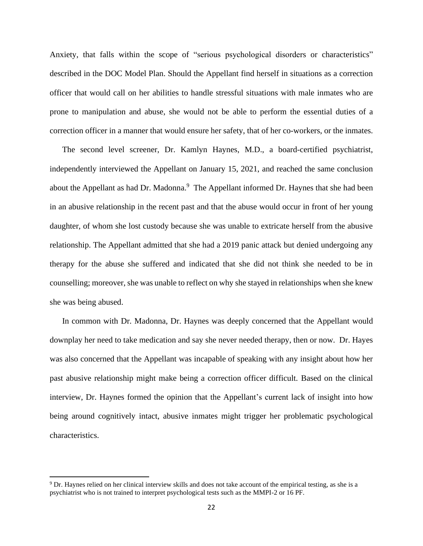Anxiety, that falls within the scope of "serious psychological disorders or characteristics" described in the DOC Model Plan. Should the Appellant find herself in situations as a correction officer that would call on her abilities to handle stressful situations with male inmates who are prone to manipulation and abuse, she would not be able to perform the essential duties of a correction officer in a manner that would ensure her safety, that of her co-workers, or the inmates.

The second level screener, Dr. Kamlyn Haynes, M.D., a board-certified psychiatrist, independently interviewed the Appellant on January 15, 2021, and reached the same conclusion about the Appellant as had Dr. Madonna.<sup>9</sup> The Appellant informed Dr. Haynes that she had been in an abusive relationship in the recent past and that the abuse would occur in front of her young daughter, of whom she lost custody because she was unable to extricate herself from the abusive relationship. The Appellant admitted that she had a 2019 panic attack but denied undergoing any therapy for the abuse she suffered and indicated that she did not think she needed to be in counselling; moreover, she was unable to reflect on why she stayed in relationships when she knew she was being abused.

In common with Dr. Madonna, Dr. Haynes was deeply concerned that the Appellant would downplay her need to take medication and say she never needed therapy, then or now. Dr. Hayes was also concerned that the Appellant was incapable of speaking with any insight about how her past abusive relationship might make being a correction officer difficult. Based on the clinical interview, Dr. Haynes formed the opinion that the Appellant's current lack of insight into how being around cognitively intact, abusive inmates might trigger her problematic psychological characteristics.

 $9$  Dr. Haynes relied on her clinical interview skills and does not take account of the empirical testing, as she is a psychiatrist who is not trained to interpret psychological tests such as the MMPI-2 or 16 PF.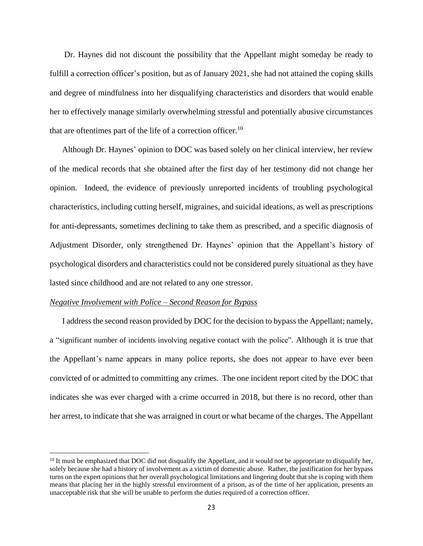Dr. Haynes did not discount the possibility that the Appellant might someday be ready to fulfill a correction officer's position, but as of January 2021, she had not attained the coping skills and degree of mindfulness into her disqualifying characteristics and disorders that would enable her to effectively manage similarly overwhelming stressful and potentially abusive circumstances that are oftentimes part of the life of a correction officer.<sup>10</sup>

Although Dr. Haynes' opinion to DOC was based solely on her clinical interview, her review of the medical records that she obtained after the first day of her testimony did not change her opinion. Indeed, the evidence of previously unreported incidents of troubling psychological characteristics, including cutting herself, migraines, and suicidal ideations, as well as prescriptions for anti-depressants, sometimes declining to take them as prescribed, and a specific diagnosis of Adjustment Disorder, only strengthened Dr. Haynes' opinion that the Appellant's history of psychological disorders and characteristics could not be considered purely situational as they have lasted since childhood and are not related to any one stressor.

#### *Negative Involvement with Police – Second Reason for Bypass*

I address the second reason provided by DOC for the decision to bypass the Appellant; namely, a "significant number of incidents involving negative contact with the police". Although it is true that the Appellant's name appears in many police reports, she does not appear to have ever been convicted of or admitted to committing any crimes. The one incident report cited by the DOC that indicates she was ever charged with a crime occurred in 2018, but there is no record, other than her arrest, to indicate that she was arraigned in court or what became of the charges. The Appellant

 $10$  It must be emphasized that DOC did not disqualify the Appellant, and it would not be appropriate to disqualify her, solely because she had a history of involvement as a victim of domestic abuse. Rather, the justification for her bypass turns on the expert opinions that her overall psychological limitations and lingering doubt that she is coping with them means that placing her in the highly stressful environment of a prison, as of the time of her application, presents an unacceptable risk that she will be unable to perform the duties required of a correction officer.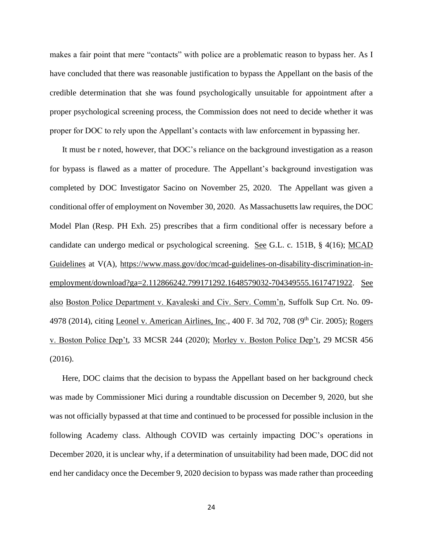makes a fair point that mere "contacts" with police are a problematic reason to bypass her. As I have concluded that there was reasonable justification to bypass the Appellant on the basis of the credible determination that she was found psychologically unsuitable for appointment after a proper psychological screening process, the Commission does not need to decide whether it was proper for DOC to rely upon the Appellant's contacts with law enforcement in bypassing her.

It must be r noted, however, that DOC's reliance on the background investigation as a reason for bypass is flawed as a matter of procedure. The Appellant's background investigation was completed by DOC Investigator Sacino on November 25, 2020. The Appellant was given a conditional offer of employment on November 30, 2020. As Massachusetts law requires, the DOC Model Plan (Resp. PH Exh. 25) prescribes that a firm conditional offer is necessary before a candidate can undergo medical or psychological screening. See G.L. c. 151B, § 4(16); MCAD Guidelines at V(A), [https://www.mass.gov/doc/mcad-guidelines-on-disability-discrimination-in](https://www.mass.gov/doc/mcad-guidelines-on-disability-discrimination-in-employment/download?ga=2.112866242.799171292.1648579032-704349555.1617471922)[employment/download?ga=2.112866242.799171292.1648579032-704349555.1617471922.](https://www.mass.gov/doc/mcad-guidelines-on-disability-discrimination-in-employment/download?ga=2.112866242.799171292.1648579032-704349555.1617471922) See also Boston Police Department v. Kavaleski and Civ. Serv. Comm'n, Suffolk Sup Crt. No. 09- 4978 (2014), citing Leonel v. American Airlines, Inc., 400 F. 3d 702, 708 (9<sup>th</sup> Cir. 2005); Rogers v. Boston Police Dep't, 33 MCSR 244 (2020); Morley v. Boston Police Dep't, 29 MCSR 456 (2016).

Here, DOC claims that the decision to bypass the Appellant based on her background check was made by Commissioner Mici during a roundtable discussion on December 9, 2020, but she was not officially bypassed at that time and continued to be processed for possible inclusion in the following Academy class. Although COVID was certainly impacting DOC's operations in December 2020, it is unclear why, if a determination of unsuitability had been made, DOC did not end her candidacy once the December 9, 2020 decision to bypass was made rather than proceeding